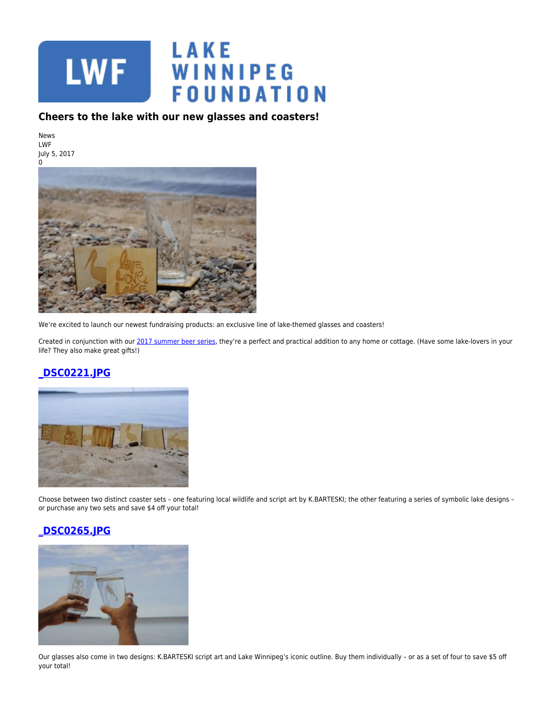

## **Cheers to the lake with our new glasses and coasters!**

News LWF July 5, 2017



We're excited to launch our newest fundraising products: an exclusive line of lake-themed glasses and coasters!

Created in conjunction with our [2017 summer beer series,](https://www.lakewinnipegfoundation.org/news/lwfs-newest-summer-partnership-celebrates-local-beer-local-lakes) they're a perfect and practical addition to any home or cottage. (Have some lake-lovers in your life? They also make great gifts!)

## **[\\_DSC0221.JPG](https://lakewinnipegfoundation.org/file/dsc0221jpg)**



Choose between two distinct coaster sets – one featuring local wildlife and script art by K.BARTESKI; the other featuring a series of symbolic lake designs – or purchase any two sets and save \$4 off your total!

## **[\\_DSC0265.JPG](https://lakewinnipegfoundation.org/file/dsc0265jpg)**



Our glasses also come in two designs: K.BARTESKI script art and Lake Winnipeg's iconic outline. Buy them individually – or as a set of four to save \$5 off your total!